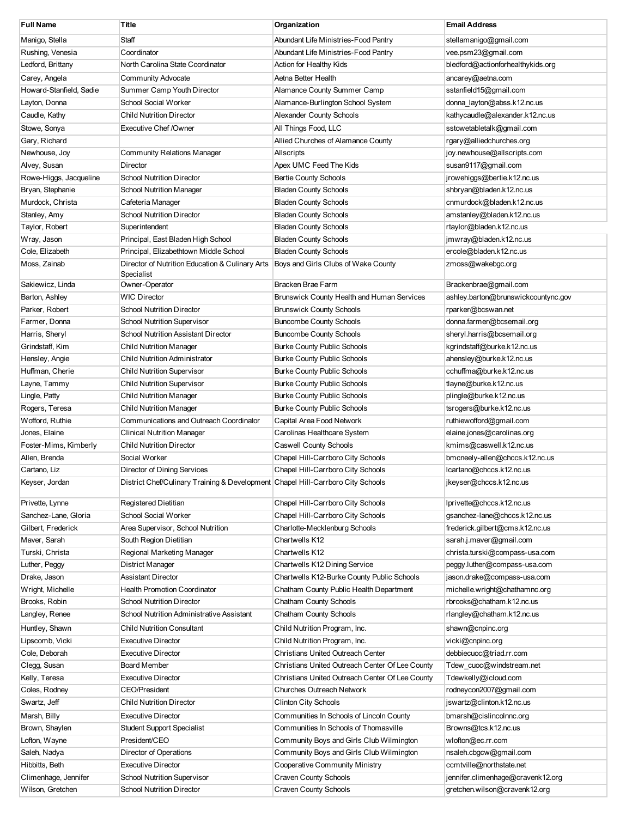| <b>Full Name</b>        | Title                                                                           | Organization                                    | <b>Email Address</b>                |
|-------------------------|---------------------------------------------------------------------------------|-------------------------------------------------|-------------------------------------|
| Manigo, Stella          | Staff                                                                           | Abundant Life Ministries-Food Pantry            | stellamanigo@gmail.com              |
| Rushing, Venesia        | Coordinator                                                                     | Abundant Life Ministries-Food Pantry            | vee.psm23@gmail.com                 |
| Ledford, Brittany       | North Carolina State Coordinator                                                | Action for Healthy Kids                         | bledford@actionforhealthykids.org   |
| Carey, Angela           | <b>Community Advocate</b>                                                       | Aetna Better Health                             | ancarey@aetna.com                   |
| Howard-Stanfield, Sadie | Summer Camp Youth Director                                                      | Alamance County Summer Camp                     | sstanfield15@gmail.com              |
| Layton, Donna           | <b>School Social Worker</b>                                                     | Alamance-Burlington School System               | donna_layton@abss.k12.nc.us         |
| Caudle, Kathy           | <b>Child Nutrition Director</b>                                                 | <b>Alexander County Schools</b>                 | kathycaudle@alexander.k12.nc.us     |
| Stowe, Sonya            | <b>Executive Chef /Owner</b>                                                    | All Things Food, LLC                            | sstowetabletalk@gmail.com           |
| Gary, Richard           |                                                                                 | Allied Churches of Alamance County              | rgary@alliedchurches.org            |
| Newhouse, Joy           | <b>Community Relations Manager</b>                                              | Allscripts                                      | joy.newhouse@allscripts.com         |
| Alvey, Susan            | Director                                                                        | Apex UMC Feed The Kids                          | susan9117@gmail.com                 |
| Rowe-Higgs, Jacqueline  | <b>School Nutrition Director</b>                                                | <b>Bertie County Schools</b>                    | jrowehiggs@bertie.k12.nc.us         |
| Bryan, Stephanie        | <b>School Nutrition Manager</b>                                                 | <b>Bladen County Schools</b>                    | shbryan@bladen.k12.nc.us            |
| Murdock, Christa        | Cafeteria Manager                                                               | <b>Bladen County Schools</b>                    | cnmurdock@bladen.k12.nc.us          |
| Stanley, Amy            | <b>School Nutrition Director</b>                                                | <b>Bladen County Schools</b>                    | amstanley@bladen.k12.nc.us          |
| Taylor, Robert          | Superintendent                                                                  | <b>Bladen County Schools</b>                    | rtaylor@bladen.k12.nc.us            |
| Wray, Jason             | Principal, East Bladen High School                                              | <b>Bladen County Schools</b>                    | jmwray@bladen.k12.nc.us             |
| Cole, Elizabeth         | Principal, Elizabethtown Middle School                                          | <b>Bladen County Schools</b>                    | ercole@bladen.k12.nc.us             |
| Moss, Zainab            | Director of Nutrition Education & Culinary Arts<br>Specialist                   | Boys and Girls Clubs of Wake County             | zmoss@wakebgc.org                   |
| Sakiewicz, Linda        | Owner-Operator                                                                  | Bracken Brae Farm                               | Brackenbrae@gmail.com               |
| Barton, Ashley          | WIC Director                                                                    | Brunswick County Health and Human Services      | ashley.barton@brunswickcountync.gov |
| Parker, Robert          | <b>School Nutrition Director</b>                                                | <b>Brunswick County Schools</b>                 | rparker@bcswan.net                  |
| Farmer, Donna           | <b>School Nutrition Supervisor</b>                                              | <b>Buncombe County Schools</b>                  | donna.farmer@bcsemail.org           |
| Harris, Sheryl          | <b>School Nutrition Assistant Director</b>                                      | <b>Buncombe County Schools</b>                  | sheryl.harris@bcsemail.org          |
| Grindstaff, Kim         | <b>Child Nutrition Manager</b>                                                  | <b>Burke County Public Schools</b>              | kgrindstaff@burke.k12.nc.us         |
| Hensley, Angie          | Child Nutrition Administrator                                                   | <b>Burke County Public Schools</b>              | ahensley@burke.k12.nc.us            |
| Huffman, Cherie         | <b>Child Nutrition Supervisor</b>                                               | <b>Burke County Public Schools</b>              | cchuffma@burke.k12.nc.us            |
| Layne, Tammy            | <b>Child Nutrition Supervisor</b>                                               | <b>Burke County Public Schools</b>              | tlayne@burke.k12.nc.us              |
| Lingle, Patty           | <b>Child Nutrition Manager</b>                                                  | <b>Burke County Public Schools</b>              | plingle@burke.k12.nc.us             |
| Rogers, Teresa          | <b>Child Nutrition Manager</b>                                                  | <b>Burke County Public Schools</b>              | tsrogers@burke.k12.nc.us            |
| Wofford, Ruthie         | Communications and Outreach Coordinator                                         | Capital Area Food Network                       | ruthiewofford@gmail.com             |
| Jones, Elaine           | <b>Clinical Nutrition Manager</b>                                               | Carolinas Healthcare System                     | elaine.jones@carolinas.org          |
| Foster-Mims, Kimberly   | <b>Child Nutrition Director</b>                                                 | <b>Caswell County Schools</b>                   | kmims@caswell.k12.nc.us             |
| Allen, Brenda           | Social Worker                                                                   | Chapel Hill-Carrboro City Schools               | bmcneely-allen@chccs.k12.nc.us      |
| Cartano, Liz            | Director of Dining Services                                                     | Chapel Hill-Carrboro City Schools               | lcartano@chccs.k12.nc.us            |
| Keyser, Jordan          | District Chef/Culinary Training & Development Chapel Hill-Carrboro City Schools |                                                 | jkeyser@chccs.k12.nc.us             |
| Privette, Lynne         | Registered Dietitian                                                            | Chapel Hill-Carrboro City Schools               | lprivette@chccs.k12.nc.us           |
| Sanchez-Lane, Gloria    | School Social Worker                                                            | Chapel Hill-Carrboro City Schools               | gsanchez-lane@chccs.k12.nc.us       |
| Gilbert, Frederick      | Area Supervisor, School Nutrition                                               | Charlotte-Mecklenburg Schools                   | frederick.gilbert@cms.k12.nc.us     |
| Maver, Sarah            | South Region Dietitian                                                          | Chartwells K12                                  | sarah.j.maver@gmail.com             |
| Turski, Christa         | Regional Marketing Manager                                                      | Chartwells K12                                  | christa.turski@compass-usa.com      |
| Luther, Peggy           | District Manager                                                                | Chartwells K12 Dining Service                   | peggy.luther@compass-usa.com        |
| Drake, Jason            | <b>Assistant Director</b>                                                       | Chartwells K12-Burke County Public Schools      | jason.drake@compass-usa.com         |
| Wright, Michelle        | <b>Health Promotion Coordinator</b>                                             | Chatham County Public Health Department         | michelle.wright@chathamnc.org       |
| Brooks, Robin           | <b>School Nutrition Director</b>                                                | <b>Chatham County Schools</b>                   | rbrooks@chatham.k12.nc.us           |
| Langley, Renee          | School Nutrition Administrative Assistant                                       | <b>Chatham County Schools</b>                   | rlangley@chatham.k12.nc.us          |
| Huntley, Shawn          | <b>Child Nutrition Consultant</b>                                               | Child Nutrition Program, Inc.                   | shawn@cnpinc.org                    |
| Lipscomb, Vicki         | <b>Executive Director</b>                                                       | Child Nutrition Program, Inc.                   | vicki@cnpinc.org                    |
| Cole, Deborah           | <b>Executive Director</b>                                                       | Christians United Outreach Center               | debbiecuoc@triad.rr.com             |
| Clegg, Susan            | Board Member                                                                    | Christians United Outreach Center Of Lee County | Tdew_cuoc@windstream.net            |
| Kelly, Teresa           | <b>Executive Director</b>                                                       | Christians United Outreach Center Of Lee County | Tdewkelly@icloud.com                |
| Coles, Rodney           | CEO/President                                                                   | Churches Outreach Network                       | rodneycon2007@gmail.com             |
| Swartz, Jeff            | <b>Child Nutrition Director</b>                                                 | <b>Clinton City Schools</b>                     | jswartz@clinton.k12.nc.us           |
| Marsh, Billy            | <b>Executive Director</b>                                                       | Communities In Schools of Lincoln County        | bmarsh@cislincolnnc.org             |
| Brown, Shaylen          | <b>Student Support Specialist</b>                                               | Communities In Schools of Thomasville           | Browns@tcs.k12.nc.us                |
| Lofton, Wayne           | President/CEO                                                                   | Community Boys and Girls Club Wilmington        | wlofton@ec.rr.com                   |
| Saleh, Nadya            | Director of Operations                                                          | Community Boys and Girls Club Wilmington        | nsaleh.cbgcw@gmail.com              |
| Hibbitts, Beth          | <b>Executive Director</b>                                                       | Cooperative Community Ministry                  | ccmtville@northstate.net            |
| Climenhage, Jennifer    | <b>School Nutrition Supervisor</b>                                              | <b>Craven County Schools</b>                    | jennifer.climenhage@cravenk12.org   |
| Wilson, Gretchen        | <b>School Nutrition Director</b>                                                | <b>Craven County Schools</b>                    | gretchen.wilson@cravenk12.org       |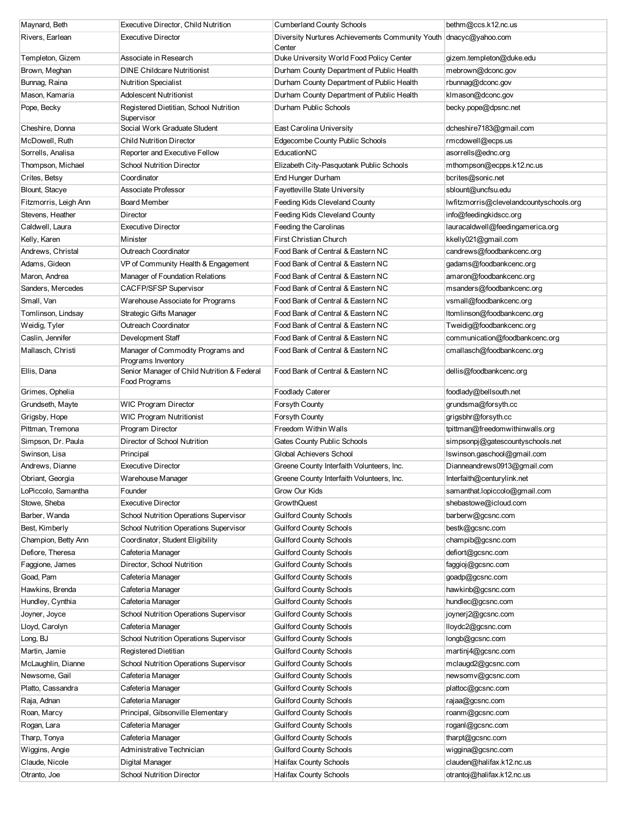| Maynard, Beth         | Executive Director, Child Nutrition                          | <b>Cumberland County Schools</b>                                             | bethm@ccs.k12.nc.us                     |
|-----------------------|--------------------------------------------------------------|------------------------------------------------------------------------------|-----------------------------------------|
| Rivers, Earlean       | <b>Executive Director</b>                                    | Diversity Nurtures Achievements Community Youth   dnacyc@yahoo.com<br>Center |                                         |
| Templeton, Gizem      | Associate in Research                                        | Duke University World Food Policy Center                                     | gizem.templeton@duke.edu                |
| Brown, Meghan         | <b>DINE Childcare Nutritionist</b>                           | Durham County Department of Public Health                                    | mebrown@dconc.gov                       |
| Bunnag, Raina         | <b>Nutrition Specialist</b>                                  | Durham County Department of Public Health                                    | rbunnag@dconc.gov                       |
| Mason, Kamaria        | <b>Adolescent Nutritionist</b>                               | Durham County Department of Public Health                                    | klmason@dconc.gov                       |
| Pope, Becky           | Registered Dietitian, School Nutrition<br>Supervisor         | Durham Public Schools                                                        | becky.pope@dpsnc.net                    |
| Cheshire, Donna       | Social Work Graduate Student                                 | East Carolina University                                                     | dcheshire7183@gmail.com                 |
| McDowell, Ruth        | <b>Child Nutrition Director</b>                              | Edgecombe County Public Schools                                              | rmcdowell@ecps.us                       |
| Sorrells, Analisa     | Reporter and Executive Fellow                                | EducationNC                                                                  | asorrells@ednc.org                      |
| Thompson, Michael     | <b>School Nutrition Director</b>                             | Elizabeth City-Pasquotank Public Schools                                     | mthompson@ecpps.k12.nc.us               |
| Crites, Betsy         | Coordinator                                                  | End Hunger Durham                                                            | bcrites@sonic.net                       |
| Blount, Stacye        | Associate Professor                                          | Fayetteville State University                                                | sblount@uncfsu.edu                      |
| Fitzmorris, Leigh Ann | Board Member                                                 | Feeding Kids Cleveland County                                                | lwfitzmorris@clevelandcountyschools.org |
| Stevens, Heather      | Director                                                     | Feeding Kids Cleveland County                                                | info@feedingkidscc.org                  |
| Caldwell, Laura       | <b>Executive Director</b>                                    | Feeding the Carolinas                                                        | lauracaldwell@feedingamerica.org        |
| Kelly, Karen          | Minister                                                     | First Christian Church                                                       | kkelly021@gmail.com                     |
| Andrews, Christal     | Outreach Coordinator                                         | Food Bank of Central & Eastern NC                                            | candrews@foodbankcenc.org               |
| Adams, Gideon         | VP of Community Health & Engagement                          | Food Bank of Central & Eastern NC                                            | gadams@foodbankcenc.org                 |
| Maron, Andrea         | Manager of Foundation Relations                              | Food Bank of Central & Eastern NC                                            | amaron@foodbankcenc.org                 |
| Sanders, Mercedes     | <b>CACFP/SFSP Supervisor</b>                                 | Food Bank of Central & Eastern NC                                            | msanders@foodbankcenc.org               |
| Small, Van            | Warehouse Associate for Programs                             | Food Bank of Central & Eastern NC                                            | vsmall@foodbankcenc.org                 |
| Tomlinson, Lindsay    | Strategic Gifts Manager                                      | Food Bank of Central & Eastern NC                                            | Itomlinson@foodbankcenc.org             |
| Weidig, Tyler         | Outreach Coordinator                                         | Food Bank of Central & Eastern NC                                            | Tweidig@foodbankcenc.org                |
| Caslin, Jennifer      | Development Staff                                            | Food Bank of Central & Eastern NC                                            | communication@foodbankcenc.org          |
| Mallasch, Christi     | Manager of Commodity Programs and<br>Programs Inventory      | Food Bank of Central & Eastern NC                                            | cmallasch@foodbankcenc.org              |
| Ellis, Dana           | Senior Manager of Child Nutrition & Federal<br>Food Programs | Food Bank of Central & Eastern NC                                            | dellis@foodbankcenc.org                 |
| Grimes, Ophelia       |                                                              | Foodlady Caterer                                                             | foodlady@bellsouth.net                  |
| Grundseth, Mayte      | WIC Program Director                                         | Forsyth County                                                               | grundsma@forsyth.cc                     |
| Grigsby, Hope         | WIC Program Nutritionist                                     | Forsyth County                                                               | grigsbhr@forsyth.cc                     |
| Pittman, Tremona      | Program Director                                             | Freedom Within Walls                                                         | tpittman@freedomwithinwalls.org         |
| Simpson, Dr. Paula    | Director of School Nutrition                                 | Gates County Public Schools                                                  | simpsonpj@gatescountyschools.net        |
| Swinson, Lisa         | Principal                                                    | Global Achievers School                                                      | Iswinson.gaschool@gmail.com             |
| Andrews, Dianne       | <b>Executive Director</b>                                    | Greene County Interfaith Volunteers, Inc.                                    | Dianneandrews0913@gmail.com             |
| Obriant, Georgia      | Warehouse Manager                                            | Greene County Interfaith Volunteers, Inc.                                    | Interfaith@centurylink.net              |
| LoPiccolo, Samantha   | Founder                                                      | Grow Our Kids                                                                | samanthat.lopiccolo@gmail.com           |
| Stowe, Sheba          | <b>Executive Director</b>                                    | <b>GrowthQuest</b>                                                           | shebastowe@icloud.com                   |
| Barber, Wanda         | School Nutrition Operations Supervisor                       | <b>Guilford County Schools</b>                                               | barberw@gcsnc.com                       |
| Best, Kimberly        | School Nutrition Operations Supervisor                       | Guilford County Schools                                                      | bestk@gcsnc.com                         |
| Champion, Betty Ann   | Coordinator, Student Eligibility                             | Guilford County Schools                                                      | champib@gcsnc.com                       |
| Defiore, Theresa      | Cafeteria Manager                                            | Guilford County Schools                                                      | defiort@gcsnc.com                       |
| Faggione, James       | Director, School Nutrition                                   | <b>Guilford County Schools</b>                                               | faggioj@gcsnc.com                       |
| Goad, Pam             | Cafeteria Manager                                            | <b>Guilford County Schools</b>                                               | goadp@gcsnc.com                         |
| Hawkins, Brenda       | Cafeteria Manager                                            | Guilford County Schools                                                      | hawkinb@gcsnc.com                       |
| Hundley, Cynthia      | Cafeteria Manager                                            | <b>Guilford County Schools</b>                                               | hundlec@gcsnc.com                       |
| Joyner, Joyce         | School Nutrition Operations Supervisor                       | <b>Guilford County Schools</b>                                               | joynerj2@gcsnc.com                      |
| Lloyd, Carolyn        | Cafeteria Manager                                            | <b>Guilford County Schools</b>                                               | lloydc2@gcsnc.com                       |
| Long, BJ              | School Nutrition Operations Supervisor                       | Guilford County Schools                                                      | longb@gcsnc.com                         |
| Martin, Jamie         | Registered Dietitian                                         | Guilford County Schools                                                      | martinj4@gcsnc.com                      |
| McLaughlin, Dianne    | School Nutrition Operations Supervisor                       | Guilford County Schools                                                      | mclaugd2@gcsnc.com                      |
| Newsome, Gail         | Cafeteria Manager                                            | Guilford County Schools                                                      | newsomv@gcsnc.com                       |
| Platto, Cassandra     | Cafeteria Manager                                            | Guilford County Schools                                                      | plattoc@gcsnc.com                       |
| Raja, Adnan           | Cafeteria Manager                                            | Guilford County Schools                                                      | rajaa@gcsnc.com                         |
| Roan, Marcy           | Principal, Gibsonville Elementary                            | <b>Guilford County Schools</b>                                               | roanm@gcsnc.com                         |
| Rogan, Lara           | Cafeteria Manager                                            | <b>Guilford County Schools</b>                                               | roganl@gcsnc.com                        |
| Tharp, Tonya          | Cafeteria Manager                                            | <b>Guilford County Schools</b>                                               | tharpt@gcsnc.com                        |
| Wiggins, Angie        | Administrative Technician                                    | <b>Guilford County Schools</b>                                               | wiggina@gcsnc.com                       |
| Claude, Nicole        | Digital Manager                                              | <b>Halifax County Schools</b>                                                | clauden@halifax.k12.nc.us               |
| Otranto, Joe          | School Nutrition Director                                    | <b>Halifax County Schools</b>                                                | otrantoj@halifax.k12.nc.us              |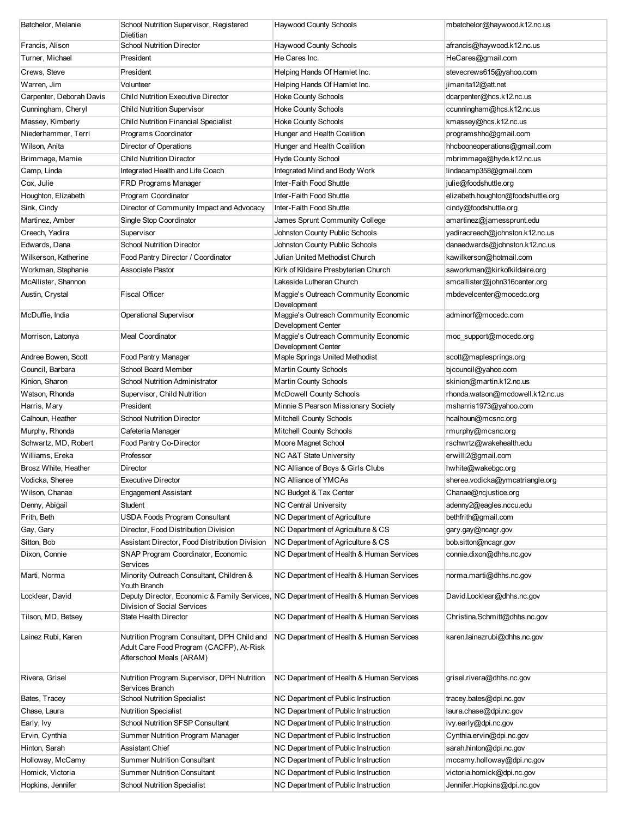| Batchelor, Melanie       | School Nutrition Supervisor, Registered<br>Dietitian                                                                 | <b>Haywood County Schools</b>                              | mbatchelor@haywood.k12.nc.us       |
|--------------------------|----------------------------------------------------------------------------------------------------------------------|------------------------------------------------------------|------------------------------------|
| Francis, Alison          | <b>School Nutrition Director</b>                                                                                     | <b>Haywood County Schools</b>                              | afrancis@haywood.k12.nc.us         |
| Turner, Michael          | President                                                                                                            | He Cares Inc.                                              | HeCares@gmail.com                  |
|                          |                                                                                                                      |                                                            |                                    |
| Crews, Steve             | President                                                                                                            | Helping Hands Of Hamlet Inc.                               | stevecrews615@yahoo.com            |
| Warren, Jim              | Volunteer                                                                                                            | Helping Hands Of Hamlet Inc.                               | jimanita12@att.net                 |
| Carpenter, Deborah Davis | <b>Child Nutrition Executive Director</b>                                                                            | <b>Hoke County Schools</b>                                 | dcarpenter@hcs.k12.nc.us           |
| Cunningham, Cheryl       | <b>Child Nutrition Supervisor</b>                                                                                    | <b>Hoke County Schools</b>                                 | ccunningham@hcs.k12.nc.us          |
| Massey, Kimberly         | <b>Child Nutrition Financial Specialist</b>                                                                          | <b>Hoke County Schools</b>                                 | kmassey@hcs.k12.nc.us              |
| Niederhammer, Terri      | Programs Coordinator                                                                                                 | Hunger and Health Coalition                                | programshhc@gmail.com              |
| Wilson, Anita            | Director of Operations                                                                                               | Hunger and Health Coalition                                | hhcbooneoperations@gmail.com       |
| Brimmage, Mamie          | <b>Child Nutrition Director</b>                                                                                      | <b>Hyde County School</b>                                  | mbrimmage@hyde.k12.nc.us           |
| Camp, Linda              | Integrated Health and Life Coach                                                                                     | Integrated Mind and Body Work                              | lindacamp358@gmail.com             |
| Cox, Julie               | FRD Programs Manager                                                                                                 | Inter-Faith Food Shuttle                                   | julie@foodshuttle.org              |
| Houghton, Elizabeth      | Program Coordinator                                                                                                  | Inter-Faith Food Shuttle                                   | elizabeth.houghton@foodshuttle.org |
| Sink, Cindy              | Director of Community Impact and Advocacy                                                                            | Inter-Faith Food Shuttle                                   | cindy@foodshuttle.org              |
| Martinez, Amber          | Single Stop Coordinator                                                                                              | James Sprunt Community College                             | amartinez@jamessprunt.edu          |
| Creech, Yadira           | Supervisor                                                                                                           | Johnston County Public Schools                             | yadiracreech@johnston.k12.nc.us    |
| Edwards, Dana            | <b>School Nutrition Director</b>                                                                                     | Johnston County Public Schools                             | danaedwards@johnston.k12.nc.us     |
| Wilkerson, Katherine     | Food Pantry Director / Coordinator                                                                                   | Julian United Methodist Church                             | kawilkerson@hotmail.com            |
| Workman, Stephanie       | Associate Pastor                                                                                                     | Kirk of Kildaire Presbyterian Church                       | saworkman@kirkofkildaire.org       |
| McAllister, Shannon      |                                                                                                                      | Lakeside Lutheran Church                                   | smcallister@john316center.org      |
| Austin, Crystal          | <b>Fiscal Officer</b>                                                                                                | Maggie's Outreach Community Economic<br>Development        | mbdevelcenter@mocedc.org           |
| McDuffie, India          | Operational Supervisor                                                                                               | Maggie's Outreach Community Economic<br>Development Center | adminorf@mocedc.com                |
| Morrison, Latonya        | <b>Meal Coordinator</b>                                                                                              | Maggie's Outreach Community Economic<br>Development Center | moc_support@mocedc.org             |
| Andree Bowen, Scott      | Food Pantry Manager                                                                                                  | Maple Springs United Methodist                             | scott@maplesprings.org             |
| Council, Barbara         | School Board Member                                                                                                  | <b>Martin County Schools</b>                               | bjcouncil@yahoo.com                |
| Kinion, Sharon           | School Nutrition Administrator                                                                                       | <b>Martin County Schools</b>                               | skinion@martin.k12.nc.us           |
| Watson, Rhonda           | Supervisor, Child Nutrition                                                                                          | <b>McDowell County Schools</b>                             | rhonda.watson@mcdowell.k12.nc.us   |
| Harris, Mary             | President                                                                                                            | Minnie S Pearson Missionary Society                        | msharris1973@yahoo.com             |
| Calhoun, Heather         | <b>School Nutrition Director</b>                                                                                     | Mitchell County Schools                                    | hcalhoun@mcsnc.org                 |
| Murphy, Rhonda           | Cafeteria Manager                                                                                                    | Mitchell County Schools                                    | rmurphy@mcsnc.org                  |
| Schwartz, MD, Robert     | Food Pantry Co-Director                                                                                              | Moore Magnet School                                        | rschwrtz@wakehealth.edu            |
| Williams, Ereka          | Professor                                                                                                            | NC A&T State University                                    | erwilli2@gmail.com                 |
| Brosz White, Heather     | Director                                                                                                             | NC Alliance of Boys & Girls Clubs                          | hwhite@wakebgc.org                 |
| Vodicka, Sheree          | <b>Executive Director</b>                                                                                            | NC Alliance of YMCAs                                       | sheree.vodicka@ymcatriangle.org    |
| Wilson, Chanae           | <b>Engagement Assistant</b>                                                                                          | NC Budget & Tax Center                                     | Chanae@ncjustice.org               |
| Denny, Abigail           | Student                                                                                                              | <b>NC Central University</b>                               | adenny2@eagles.nccu.edu            |
| Frith, Beth              | <b>USDA Foods Program Consultant</b>                                                                                 | NC Department of Agriculture                               | bethfrith@gmail.com                |
| Gay, Gary                | Director, Food Distribution Division                                                                                 | NC Department of Agriculture & CS                          | gary.gay@ncagr.gov                 |
| Sitton, Bob              | Assistant Director, Food Distribution Division                                                                       | NC Department of Agriculture & CS                          | bob.sitton@ncagr.gov               |
| Dixon, Connie            | SNAP Program Coordinator, Economic<br>Services                                                                       | NC Department of Health & Human Services                   | connie.dixon@dhhs.nc.gov           |
| Marti, Norma             | Minority Outreach Consultant, Children &<br>Youth Branch                                                             | NC Department of Health & Human Services                   | norma.marti@dhhs.nc.gov            |
| Locklear, David          | Deputy Director, Economic & Family Services, NC Department of Health & Human Services<br>Division of Social Services |                                                            | David.Locklear@dhhs.nc.gov         |
| Tilson, MD, Betsey       | State Health Director                                                                                                | NC Department of Health & Human Services                   | Christina.Schmitt@dhhs.nc.gov      |
| Lainez Rubi, Karen       | Nutrition Program Consultant, DPH Child and<br>Adult Care Food Program (CACFP), At-Risk<br>Afterschool Meals (ARAM)  | NC Department of Health & Human Services                   | karen.lainezrubi@dhhs.nc.gov       |
| Rivera, Grisel           | Nutrition Program Supervisor, DPH Nutrition<br>Services Branch                                                       | NC Department of Health & Human Services                   | grisel.rivera@dhhs.nc.gov          |
| Bates, Tracey            | <b>School Nutrition Specialist</b>                                                                                   | NC Department of Public Instruction                        | tracey.bates@dpi.nc.gov            |
| Chase, Laura             | <b>Nutrition Specialist</b>                                                                                          | NC Department of Public Instruction                        | laura.chase@dpi.nc.gov             |
| Early, Ivy               | School Nutrition SFSP Consultant                                                                                     | NC Department of Public Instruction                        | ivy.early@dpi.nc.gov               |
| Ervin, Cynthia           | Summer Nutrition Program Manager                                                                                     | NC Department of Public Instruction                        | Cynthia.ervin@dpi.nc.gov           |
| Hinton, Sarah            | <b>Assistant Chief</b>                                                                                               | NC Department of Public Instruction                        | sarah.hinton@dpi.nc.gov            |
| Holloway, McCamy         | <b>Summer Nutrition Consultant</b>                                                                                   | NC Department of Public Instruction                        | mccamy.holloway@dpi.nc.gov         |
| Homick, Victoria         | <b>Summer Nutrition Consultant</b>                                                                                   | NC Department of Public Instruction                        | victoria.homick@dpi.nc.gov         |
| Hopkins, Jennifer        | <b>School Nutrition Specialist</b>                                                                                   | NC Department of Public Instruction                        | Jennifer.Hopkins@dpi.nc.gov        |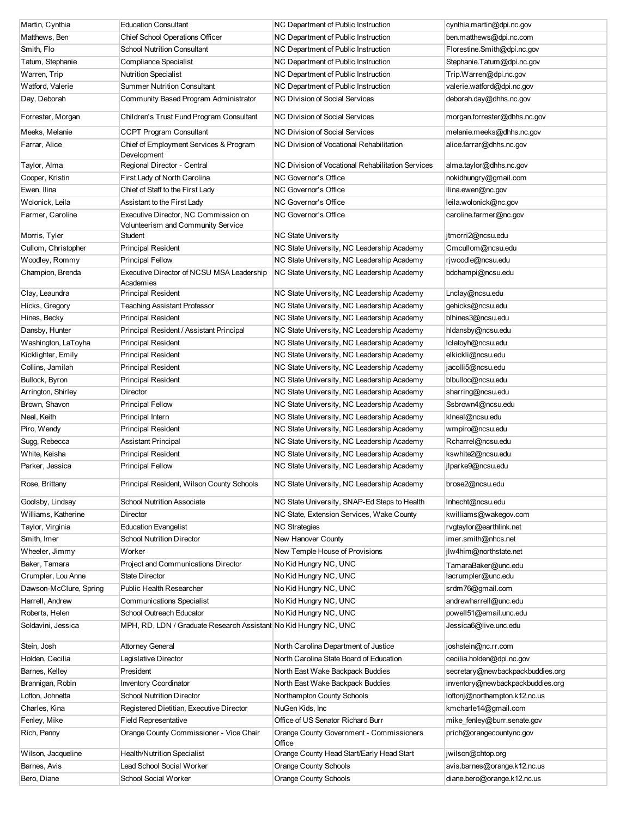| Martin, Cynthia        | <b>Education Consultant</b>                                      | NC Department of Public Instruction                | cynthia.martin@dpi.nc.gov        |
|------------------------|------------------------------------------------------------------|----------------------------------------------------|----------------------------------|
| Matthews, Ben          | Chief School Operations Officer                                  | NC Department of Public Instruction                | ben.matthews@dpi.nc.com          |
| Smith, Flo             | <b>School Nutrition Consultant</b>                               | NC Department of Public Instruction                | Florestine.Smith@dpi.nc.gov      |
| Tatum, Stephanie       | Compliance Specialist                                            | NC Department of Public Instruction                | Stephanie.Tatum@dpi.nc.gov       |
| Warren, Trip           | <b>Nutrition Specialist</b>                                      | NC Department of Public Instruction                | Trip.Warren@dpi.nc.gov           |
| Watford, Valerie       | <b>Summer Nutrition Consultant</b>                               | NC Department of Public Instruction                | valerie.watford@dpi.nc.gov       |
| Day, Deborah           | Community Based Program Administrator                            | <b>NC Division of Social Services</b>              | deborah.day@dhhs.nc.gov          |
| Forrester, Morgan      | Children's Trust Fund Program Consultant                         | NC Division of Social Services                     | morgan.forrester@dhhs.nc.gov     |
| Meeks, Melanie         | <b>CCPT Program Consultant</b>                                   | <b>NC Division of Social Services</b>              | melanie.meeks@dhhs.nc.gov        |
| Farrar, Alice          | Chief of Employment Services & Program<br>Development            | <b>NC Division of Vocational Rehabilitation</b>    | alice.farrar@dhhs.nc.gov         |
| Taylor, Alma           | Regional Director - Central                                      | NC Division of Vocational Rehabilitation Services  | alma.taylor@dhhs.nc.gov          |
| Cooper, Kristin        | First Lady of North Carolina                                     | NC Governor's Office                               | nokidhungry@gmail.com            |
| Ewen, Ilina            | Chief of Staff to the First Lady                                 | NC Governor's Office                               | ilina.ewen@nc.gov                |
| Wolonick, Leila        | Assistant to the First Lady                                      | NC Governor's Office                               | leila.wolonick@nc.gov            |
| Farmer, Caroline       | Executive Director, NC Commission on                             | NC Governor's Office                               | caroline.farmer@nc.gov           |
|                        | Volunteerism and Community Service                               |                                                    |                                  |
| Morris, Tyler          | Student                                                          | <b>NC State University</b>                         | jtmorri2@ncsu.edu                |
| Cullom, Christopher    | <b>Principal Resident</b>                                        | NC State University, NC Leadership Academy         | Cmcullom@ncsu.edu                |
| Woodley, Rommy         | <b>Principal Fellow</b>                                          | NC State University, NC Leadership Academy         | rjwoodle@ncsu.edu                |
| Champion, Brenda       | Executive Director of NCSU MSA Leadership                        | NC State University, NC Leadership Academy         | bdchampi@ncsu.edu                |
|                        | Academies                                                        |                                                    |                                  |
| Clay, Leaundra         | <b>Principal Resident</b>                                        | NC State University, NC Leadership Academy         | Lnclay@ncsu.edu                  |
| Hicks, Gregory         | <b>Teaching Assistant Professor</b>                              | NC State University, NC Leadership Academy         | gehicks@ncsu.edu                 |
| Hines, Becky           | <b>Principal Resident</b>                                        | NC State University, NC Leadership Academy         | blhines3@ncsu.edu                |
| Dansby, Hunter         | Principal Resident / Assistant Principal                         | NC State University, NC Leadership Academy         | hIdansby@ncsu.edu                |
| Washington, LaToyha    | <b>Principal Resident</b>                                        | NC State University, NC Leadership Academy         | Iclatoyh@ncsu.edu                |
| Kicklighter, Emily     | <b>Principal Resident</b>                                        | NC State University, NC Leadership Academy         | elkickli@ncsu.edu                |
| Collins, Jamilah       | <b>Principal Resident</b>                                        | NC State University, NC Leadership Academy         | jacolli5@ncsu.edu                |
| Bullock, Byron         | <b>Principal Resident</b>                                        | NC State University, NC Leadership Academy         | blbulloc@ncsu.edu                |
| Arrington, Shirley     | Director                                                         | NC State University, NC Leadership Academy         | sharring@ncsu.edu                |
| Brown, Shavon          | <b>Principal Fellow</b>                                          | NC State University, NC Leadership Academy         | Ssbrown4@ncsu.edu                |
| Neal, Keith            | Principal Intern                                                 | NC State University, NC Leadership Academy         | kIneal@ncsu.edu                  |
| Piro, Wendy            | <b>Principal Resident</b>                                        | NC State University, NC Leadership Academy         | wmpiro@ncsu.edu                  |
| Sugg, Rebecca          | <b>Assistant Principal</b>                                       | NC State University, NC Leadership Academy         | Rcharrel@ncsu.edu                |
| White, Keisha          | <b>Principal Resident</b>                                        | NC State University, NC Leadership Academy         | kswhite2@ncsu.edu                |
| Parker, Jessica        | <b>Principal Fellow</b>                                          | NC State University, NC Leadership Academy         | jlparke9@ncsu.edu                |
| Rose, Brittany         | Principal Resident, Wilson County Schools                        | NC State University, NC Leadership Academy         | brose2@ncsu.edu                  |
|                        |                                                                  |                                                    |                                  |
| Goolsby, Lindsay       | School Nutrition Associate                                       | NC State University, SNAP-Ed Steps to Health       | Inhecht@ncsu.edu                 |
| Williams, Katherine    | Director                                                         | NC State, Extension Services, Wake County          | kwilliams@wakegov.com            |
| Taylor, Virginia       | <b>Education Evangelist</b>                                      | <b>NC Strategies</b>                               | rvgtaylor@earthlink.net          |
| Smith, Imer            | <b>School Nutrition Director</b>                                 | New Hanover County                                 | imer.smith@nhcs.net              |
| Wheeler, Jimmy         | Worker                                                           | New Temple House of Provisions                     | ilw4him@northstate.net           |
| Baker, Tamara          | Project and Communications Director                              | No Kid Hungry NC, UNC                              | TamaraBaker@unc.edu              |
| Crumpler, Lou Anne     | <b>State Director</b>                                            | No Kid Hungry NC, UNC                              | lacrumpler@unc.edu               |
| Dawson-McClure, Spring | <b>Public Health Researcher</b>                                  | No Kid Hungry NC, UNC                              | srdm76@gmail.com                 |
| Harrell, Andrew        | <b>Communications Specialist</b>                                 | No Kid Hungry NC, UNC                              | andrewharrell@unc.edu            |
| Roberts, Helen         | School Outreach Educator                                         | No Kid Hungry NC, UNC                              | powell51@email.unc.edu           |
| Soldavini, Jessica     | MPH, RD, LDN / Graduate Research Assistant No Kid Hungry NC, UNC |                                                    | Jessica6@live.unc.edu            |
| Stein, Josh            | <b>Attorney General</b>                                          | North Carolina Department of Justice               | joshstein@nc.rr.com              |
| Holden, Cecilia        | Legislative Director                                             | North Carolina State Board of Education            | cecilia.holden@dpi.nc.gov        |
| Barnes, Kelley         | President                                                        | North East Wake Backpack Buddies                   | secretary@newbackpackbuddies.org |
| Brannigan, Robin       | <b>Inventory Coordinator</b>                                     | North East Wake Backpack Buddies                   | inventory@newbackpackbuddies.org |
| Lofton, Johnetta       | <b>School Nutrition Director</b>                                 | Northampton County Schools                         | loftonj@northampton.k12.nc.us    |
| Charles, Kina          | Registered Dietitian, Executive Director                         | NuGen Kids, Inc                                    | kmcharle14@gmail.com             |
| Fenley, Mike           | Field Representative                                             | Office of US Senator Richard Burr                  | mike_fenley@burr.senate.gov      |
| Rich, Penny            | Orange County Commissioner - Vice Chair                          | Orange County Government - Commissioners<br>Office | prich@orangecountync.gov         |
| Wilson, Jacqueline     | <b>Health/Nutrition Specialist</b>                               | Orange County Head Start/Early Head Start          | jwilson@chtop.org                |
| Barnes, Avis           | Lead School Social Worker                                        | <b>Orange County Schools</b>                       | avis.barnes@orange.k12.nc.us     |
| Bero, Diane            | School Social Worker                                             | <b>Orange County Schools</b>                       | diane.bero@orange.k12.nc.us      |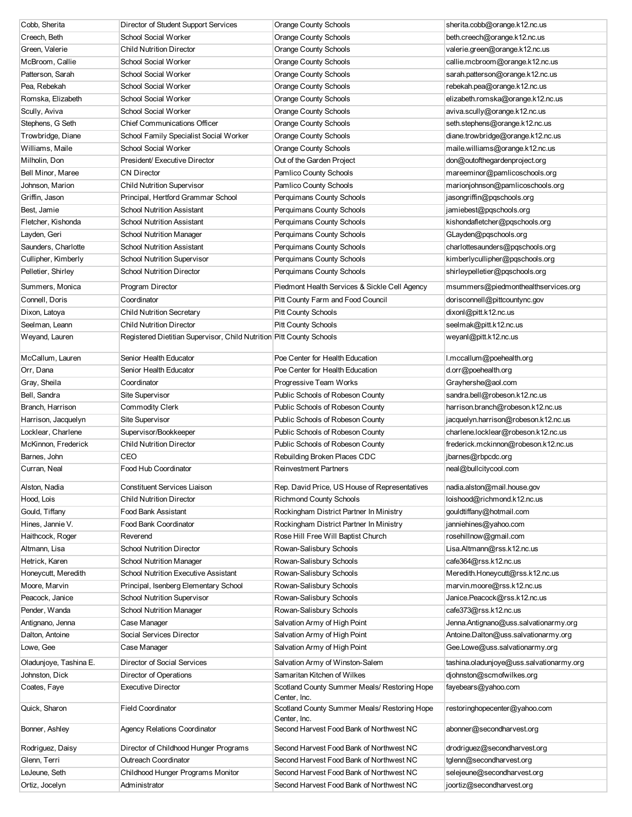| Cobb, Sherita          | Director of Student Support Services                                 | Orange County Schools                                        | sherita.cobb@orange.k12.nc.us            |
|------------------------|----------------------------------------------------------------------|--------------------------------------------------------------|------------------------------------------|
| Creech, Beth           | School Social Worker                                                 | <b>Orange County Schools</b>                                 | beth.creech@orange.k12.nc.us             |
| Green, Valerie         | <b>Child Nutrition Director</b>                                      | <b>Orange County Schools</b>                                 | valerie.green@orange.k12.nc.us           |
| McBroom, Callie        | School Social Worker                                                 | <b>Orange County Schools</b>                                 | callie.mcbroom@orange.k12.nc.us          |
| Patterson, Sarah       | School Social Worker                                                 | <b>Orange County Schools</b>                                 | sarah.patterson@orange.k12.nc.us         |
| Pea, Rebekah           | School Social Worker                                                 | <b>Orange County Schools</b>                                 | rebekah.pea@orange.k12.nc.us             |
| Romska, Elizabeth      | School Social Worker                                                 | <b>Orange County Schools</b>                                 | elizabeth.romska@orange.k12.nc.us        |
| Scully, Aviva          | School Social Worker                                                 | Orange County Schools                                        | aviva.scully@orange.k12.nc.us            |
| Stephens, G Seth       | <b>Chief Communications Officer</b>                                  | <b>Orange County Schools</b>                                 | seth.stephens@orange.k12.nc.us           |
| Trowbridge, Diane      | School Family Specialist Social Worker                               | Orange County Schools                                        | diane.trowbridge@orange.k12.nc.us        |
| Williams, Maile        | School Social Worker                                                 | Orange County Schools                                        | maile.williams@orange.k12.nc.us          |
| Milholin, Don          | President/ Executive Director                                        | Out of the Garden Project                                    | don@outofthegardenproject.org            |
| Bell Minor, Maree      | <b>CN Director</b>                                                   | Pamlico County Schools                                       | mareeminor@pamlicoschools.org            |
| Johnson, Marion        | <b>Child Nutrition Supervisor</b>                                    | Pamlico County Schools                                       | marionjohnson@pamlicoschools.org         |
| Griffin, Jason         | Principal, Hertford Grammar School                                   | Perquimans County Schools                                    | jasongriffin@pqschools.org               |
| Best, Jamie            | <b>School Nutrition Assistant</b>                                    | Perquimans County Schools                                    | jamiebest@pqschools.org                  |
| Fletcher, Kishonda     | <b>School Nutrition Assistant</b>                                    | Perquimans County Schools                                    | kishondafletcher@pqschools.org           |
| Layden, Geri           | <b>School Nutrition Manager</b>                                      | Perquimans County Schools                                    | GLayden@pqschools.org                    |
| Saunders, Charlotte    | <b>School Nutrition Assistant</b>                                    | Perquimans County Schools                                    | charlottesaunders@pqschools.org          |
| Cullipher, Kimberly    | <b>School Nutrition Supervisor</b>                                   | Perquimans County Schools                                    | kimberlycullipher@pqschools.org          |
| Pelletier, Shirley     | <b>School Nutrition Director</b>                                     | Perquimans County Schools                                    | shirleypelletier@pqschools.org           |
| Summers, Monica        | Program Director                                                     | Piedmont Health Services & Sickle Cell Agency                | msummers@piedmonthealthservices.org      |
| Connell, Doris         | Coordinator                                                          | Pitt County Farm and Food Council                            | dorisconnell@pittcountync.gov            |
| Dixon, Latoya          | <b>Child Nutrition Secretary</b>                                     | <b>Pitt County Schools</b>                                   | dixonl@pitt.k12.nc.us                    |
| Seelman, Leann         | <b>Child Nutrition Director</b>                                      | <b>Pitt County Schools</b>                                   | seelmak@pitt.k12.nc.us                   |
| Weyand, Lauren         | Registered Dietitian Supervisor, Child Nutrition Pitt County Schools |                                                              | weyanl@pitt.k12.nc.us                    |
|                        |                                                                      |                                                              |                                          |
| McCallum, Lauren       | Senior Health Educator                                               | Poe Center for Health Education                              | I.mccallum@poehealth.org                 |
| Orr, Dana              | Senior Health Educator                                               | Poe Center for Health Education                              | d.orr@poehealth.org                      |
| Gray, Sheila           | Coordinator                                                          | Progressive Team Works                                       | Grayhershe@aol.com                       |
| Bell, Sandra           | Site Supervisor                                                      | Public Schools of Robeson County                             | sandra.bell@robeson.k12.nc.us            |
| Branch, Harrison       | <b>Commodity Clerk</b>                                               | Public Schools of Robeson County                             | harrison.branch@robeson.k12.nc.us        |
| Harrison, Jacquelyn    | Site Supervisor                                                      | Public Schools of Robeson County                             | jacquelyn.harrison@robeson.k12.nc.us     |
| Locklear, Charlene     | Supervisor/Bookkeeper                                                | Public Schools of Robeson County                             | charlene.locklear@robeson.k12.nc.us      |
| McKinnon, Frederick    | <b>Child Nutrition Director</b>                                      | Public Schools of Robeson County                             | frederick.mckinnon@robeson.k12.nc.us     |
| Barnes, John           | CEO                                                                  | Rebuilding Broken Places CDC                                 | jbarnes@rbpcdc.org                       |
| Curran, Neal           | Food Hub Coordinator                                                 | <b>Reinvestment Partners</b>                                 | neal@bullcitycool.com                    |
| Alston, Nadia          | Constituent Services Liaison                                         | Rep. David Price, US House of Representatives                | nadia.alston@mail.house.gov              |
| Hood, Lois             | <b>Child Nutrition Director</b>                                      | <b>Richmond County Schools</b>                               | loishood@richmond.k12.nc.us              |
| Gould, Tiffany         | Food Bank Assistant                                                  | Rockingham District Partner In Ministry                      | gouldtiffany@hotmail.com                 |
| Hines, Jannie V.       | Food Bank Coordinator                                                | Rockingham District Partner In Ministry                      | janniehines@yahoo.com                    |
| Haithcock, Roger       | Reverend                                                             | Rose Hill Free Will Baptist Church                           | rosehillnow@gmail.com                    |
| Altmann, Lisa          | <b>School Nutrition Director</b>                                     | Rowan-Salisbury Schools                                      | Lisa.Altmann@rss.k12.nc.us               |
| Hetrick, Karen         | School Nutrition Manager                                             | Rowan-Salisbury Schools                                      | cafe364@rss.k12.nc.us                    |
| Honeycutt, Meredith    | School Nutrition Executive Assistant                                 | Rowan-Salisbury Schools                                      | Meredith.Honeycutt@rss.k12.nc.us         |
| Moore, Marvin          | Principal, Isenberg Elementary School                                | Rowan-Salisbury Schools                                      | marvin.moore@rss.k12.nc.us               |
| Peacock, Janice        | School Nutrition Supervisor                                          | Rowan-Salisbury Schools                                      | Janice.Peacock@rss.k12.nc.us             |
| Pender, Wanda          | School Nutrition Manager                                             | Rowan-Salisbury Schools                                      | cafe373@rss.k12.nc.us                    |
| Antignano, Jenna       | Case Manager                                                         | Salvation Army of High Point                                 | Jenna.Antignano@uss.salvationarmy.org    |
| Dalton, Antoine        | Social Services Director                                             | Salvation Army of High Point                                 | Antoine.Dalton@uss.salvationarmy.org     |
| Lowe, Gee              | Case Manager                                                         | Salvation Army of High Point                                 | Gee.Lowe@uss.salvationarmy.org           |
| Oladunjoye, Tashina E. | Director of Social Services                                          | Salvation Army of Winston-Salem                              | tashina.oladunjoye@uss.salvationarmy.org |
| Johnston, Dick         | Director of Operations                                               | Samaritan Kitchen of Wilkes                                  | djohnston@scmofwilkes.org                |
| Coates, Faye           | <b>Executive Director</b>                                            | Scotland County Summer Meals/ Restoring Hope                 | fayebears@yahoo.com                      |
|                        |                                                                      | Center, Inc.                                                 |                                          |
| Quick, Sharon          | <b>Field Coordinator</b>                                             | Scotland County Summer Meals/ Restoring Hope<br>Center, Inc. | restoringhopecenter@yahoo.com            |
| Bonner, Ashley         | <b>Agency Relations Coordinator</b>                                  | Second Harvest Food Bank of Northwest NC                     | abonner@secondharvest.org                |
| Rodriguez, Daisy       | Director of Childhood Hunger Programs                                | Second Harvest Food Bank of Northwest NC                     | drodriguez@secondharvest.org             |
| Glenn, Terri           | Outreach Coordinator                                                 | Second Harvest Food Bank of Northwest NC                     | tglenn@secondharvest.org                 |
| LeJeune, Seth          | Childhood Hunger Programs Monitor                                    | Second Harvest Food Bank of Northwest NC                     | selejeune@secondharvest.org              |
| Ortiz, Jocelyn         | Administrator                                                        | Second Harvest Food Bank of Northwest NC                     | joortiz@secondharvest.org                |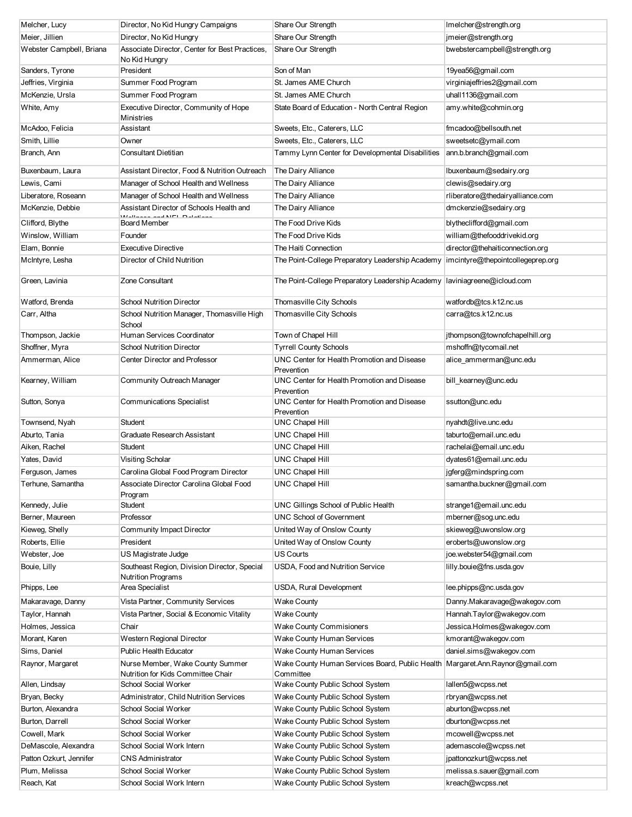| Melcher, Lucy            | Director, No Kid Hungry Campaigns                                         | Share Our Strength                                                            | Imelcher@strength.org             |
|--------------------------|---------------------------------------------------------------------------|-------------------------------------------------------------------------------|-----------------------------------|
| Meier, Jillien           | Director, No Kid Hungry                                                   | Share Our Strength                                                            | jmeier@strength.org               |
| Webster Campbell, Briana | Associate Director, Center for Best Practices,<br>No Kid Hungry           | Share Our Strength                                                            | bwebstercampbell@strength.org     |
| Sanders, Tyrone          | President                                                                 | Son of Man                                                                    | 19yea56@gmail.com                 |
| Jeffries, Virginia       | Summer Food Program                                                       | St. James AME Church                                                          | virginiajeffries2@gmail.com       |
| McKenzie, Ursla          | Summer Food Program                                                       | St. James AME Church                                                          | uhall1136@gmail.com               |
| White, Amy               | Executive Director, Community of Hope                                     | State Board of Education - North Central Region                               | amy.white@cohmin.org              |
|                          | Ministries                                                                |                                                                               |                                   |
| McAdoo, Felicia          | Assistant                                                                 | Sweets, Etc., Caterers, LLC                                                   | fmcadoo@bellsouth.net             |
| Smith, Lillie            | Owner                                                                     | Sweets, Etc., Caterers, LLC                                                   | sweetsetc@ymail.com               |
| Branch, Ann              | <b>Consultant Dietitian</b>                                               | Tammy Lynn Center for Developmental Disabilities                              | ann.b.branch@gmail.com            |
| Buxenbaum, Laura         | Assistant Director, Food & Nutrition Outreach                             | The Dairy Alliance                                                            | lbuxenbaum@sedairy.org            |
| Lewis, Cami              | Manager of School Health and Wellness                                     | The Dairy Alliance                                                            | clewis@sedairy.org                |
| Liberatore, Roseann      | Manager of School Health and Wellness                                     | The Dairy Alliance                                                            | rliberatore@thedairyalliance.com  |
| McKenzie, Debbie         | Assistant Director of Schools Health and                                  | The Dairy Alliance                                                            | dmckenzie@sedairy.org             |
| Clifford, Blythe         | Board Member                                                              | The Food Drive Kids                                                           | blytheclifford@gmail.com          |
| Winslow, William         | Founder                                                                   | The Food Drive Kids                                                           | william@thefooddrivekid.org       |
| Elam, Bonnie             | <b>Executive Directive</b>                                                | The Haiti Connection                                                          | director@thehaiticonnection.org   |
| McIntyre, Lesha          | Director of Child Nutrition                                               | The Point-College Preparatory Leadership Academy                              | imcintyre@thepointcollegeprep.org |
| Green, Lavinia           | Zone Consultant                                                           | The Point-College Preparatory Leadership Academy                              | laviniagreene@icloud.com          |
| Watford, Brenda          | <b>School Nutrition Director</b>                                          | Thomasville City Schools                                                      | watfordb@tcs.k12.nc.us            |
| Carr, Altha              | School Nutrition Manager, Thomasville High<br>School                      | Thomasville City Schools                                                      | carra@tcs.k12.nc.us               |
| Thompson, Jackie         | Human Services Coordinator                                                | Town of Chapel Hill                                                           | jthompson@townofchapelhill.org    |
| Shoffner, Myra           | <b>School Nutrition Director</b>                                          | <b>Tyrrell County Schools</b>                                                 | mshoffn@tycomail.net              |
| Ammerman, Alice          | Center Director and Professor                                             | UNC Center for Health Promotion and Disease<br>Prevention                     | alice_ammerman@unc.edu            |
| Kearney, William         | Community Outreach Manager                                                | UNC Center for Health Promotion and Disease<br>Prevention                     | bill_kearney@unc.edu              |
| Sutton, Sonya            | <b>Communications Specialist</b>                                          | UNC Center for Health Promotion and Disease<br>Prevention                     | ssutton@unc.edu                   |
| Townsend, Nyah           | Student                                                                   | <b>UNC Chapel Hill</b>                                                        | nyahdt@live.unc.edu               |
| Aburto, Tania            | Graduate Research Assistant                                               | <b>UNC Chapel Hill</b>                                                        | taburto@email.unc.edu             |
| Aiken, Rachel            | <b>Student</b>                                                            | <b>UNC Chapel Hill</b>                                                        | rachelai@email.unc.edu            |
| Yates, David             | Visiting Scholar                                                          | <b>UNC Chapel Hill</b>                                                        | dyates61@email.unc.edu            |
| Ferguson, James          | Carolina Global Food Program Director                                     | <b>UNC Chapel Hill</b>                                                        | jgferg@mindspring.com             |
| Terhune, Samantha        | Associate Director Carolina Global Food<br>Program                        | <b>UNC Chapel Hill</b>                                                        | samantha.buckner@gmail.com        |
| Kennedy, Julie           | Student                                                                   | UNC Gillings School of Public Health                                          | strange1@email.unc.edu            |
| Berner, Maureen          | Professor                                                                 | <b>UNC School of Government</b>                                               | mberner@sog.unc.edu               |
| Kieweg, Shelly           | Community Impact Director                                                 | United Way of Onslow County                                                   | skieweg@uwonslow.org              |
| Roberts, Ellie           | President                                                                 | United Way of Onslow County                                                   | eroberts@uwonslow.org             |
| Webster, Joe             | US Magistrate Judge                                                       | <b>US Courts</b>                                                              | joe.webster54@gmail.com           |
| Bouie, Lilly             | Southeast Region, Division Director, Special<br><b>Nutrition Programs</b> | USDA, Food and Nutrition Service                                              | lilly.bouie@fns.usda.gov          |
| Phipps, Lee              | Area Specialist                                                           | USDA, Rural Development                                                       | lee.phipps@nc.usda.gov            |
| Makaravage, Danny        | Vista Partner, Community Services                                         | <b>Wake County</b>                                                            | Danny.Makaravage@wakegov.com      |
| Taylor, Hannah           | Vista Partner, Social & Economic Vitality                                 | <b>Wake County</b>                                                            | Hannah.Taylor@wakegov.com         |
| Holmes, Jessica          | Chair                                                                     | <b>Wake County Commisioners</b>                                               | Jessica.Holmes@wakegov.com        |
| Morant, Karen            | Western Regional Director                                                 | Wake County Human Services                                                    | kmorant@wakegov.com               |
| Sims, Daniel             | <b>Public Health Educator</b>                                             | Wake County Human Services                                                    | daniel.sims@wakegov.com           |
| Raynor, Margaret         | Nurse Member, Wake County Summer                                          | Wake County Human Services Board, Public Health Margaret.Ann.Raynor@gmail.com |                                   |
|                          | Nutrition for Kids Committee Chair                                        | Committee                                                                     |                                   |
| Allen, Lindsay           | School Social Worker                                                      | Wake County Public School System                                              | lallen5@wcpss.net                 |
| Bryan, Becky             | Administrator, Child Nutrition Services                                   | Wake County Public School System                                              | rbryan@wcpss.net                  |
| Burton, Alexandra        | School Social Worker                                                      | Wake County Public School System                                              | aburton@wcpss.net                 |
| Burton, Darrell          | School Social Worker                                                      | Wake County Public School System                                              | dburton@wcpss.net                 |
| Cowell, Mark             | School Social Worker                                                      | Wake County Public School System                                              | mcowell@wcpss.net                 |
| DeMascole, Alexandra     | School Social Work Intern                                                 | Wake County Public School System                                              | ademascole@wcpss.net              |
| Patton Ozkurt, Jennifer  | <b>CNS Administrator</b>                                                  | Wake County Public School System                                              | jpattonozkurt@wcpss.net           |
| Plum, Melissa            | School Social Worker                                                      | Wake County Public School System                                              | melissa.s.sauer@gmail.com         |
| Reach, Kat               | School Social Work Intern                                                 | Wake County Public School System                                              | kreach@wcpss.net                  |